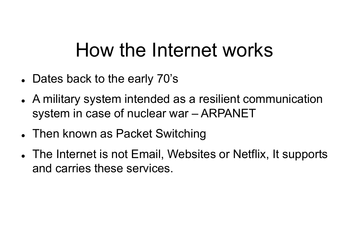# How the Internet works

- Dates back to the early 70's
- A military system intended as a resilient communication **How the Internet works**<br>Dates back to the early 70's<br>A military system intended as a resilient communication<br>system in case of nuclear war – ARPANET<br>Then known as Packet Switching
- Then known as Packet Switching
- The Internet is not Email, Websites or Netflix, It supports and carries these services.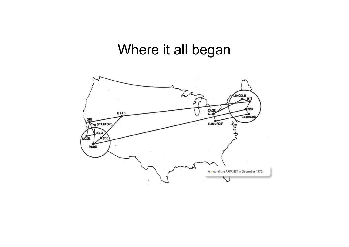### Where it all began

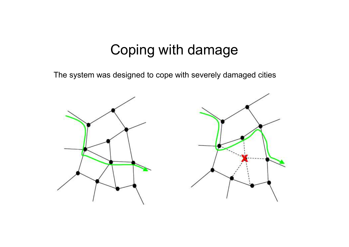#### Coping with damage

The system was designed to cope with severely damaged cities

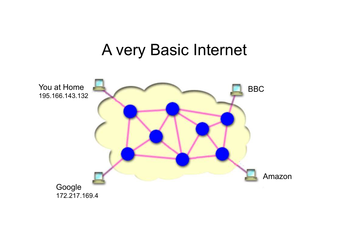### A very Basic Internet

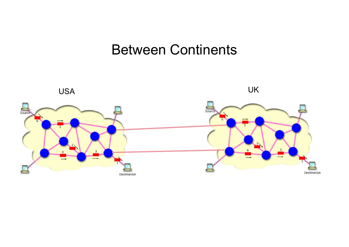#### Between Continents

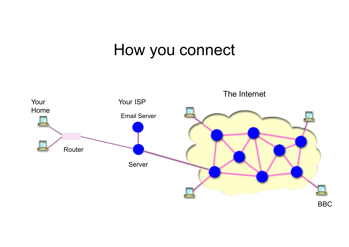### How you connect

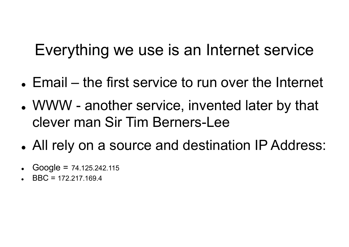### Everything we use is an Internet service

- Everything we use is an Internet service<br>• Email the first service to run over the Internet<br>• WWW another service, invented later by that
- Everything we use is an Internet service<br>• Email the first service to run over the Internet<br>• WWW another service, invented later by that<br>clever man Sir Tim Berners-Lee clever man Sir Tim Berners-Lee
- All rely on a source and destination IP Address:
- $Google = 74.125.242.115$
- BBC = 172.217.169.4